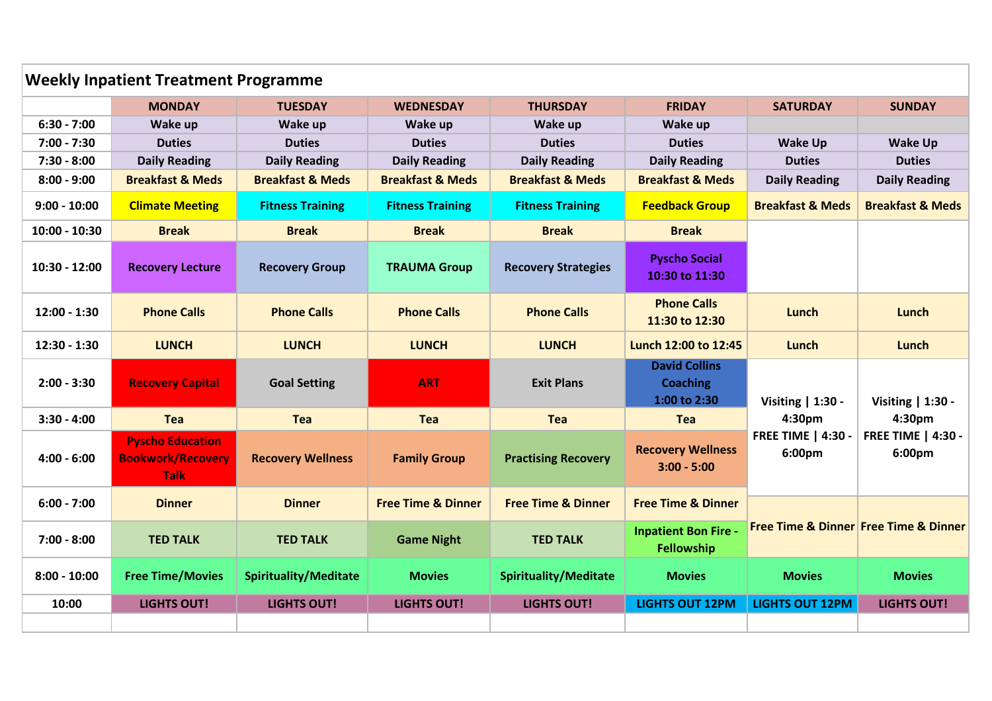| <b>Weekly Inpatient Treatment Programme</b> |                                                                    |                              |                               |                               |                                                         |                                     |                                                                    |  |  |
|---------------------------------------------|--------------------------------------------------------------------|------------------------------|-------------------------------|-------------------------------|---------------------------------------------------------|-------------------------------------|--------------------------------------------------------------------|--|--|
|                                             | <b>MONDAY</b>                                                      | <b>TUESDAY</b>               | <b>WEDNESDAY</b>              | <b>THURSDAY</b>               | <b>FRIDAY</b>                                           | <b>SATURDAY</b>                     | <b>SUNDAY</b>                                                      |  |  |
| $6:30 - 7:00$                               | Wake up                                                            | Wake up                      | Wake up                       | Wake up                       | Wake up                                                 |                                     |                                                                    |  |  |
| $7:00 - 7:30$                               | <b>Duties</b>                                                      | <b>Duties</b>                | <b>Duties</b>                 | <b>Duties</b>                 | <b>Duties</b>                                           | <b>Wake Up</b>                      | <b>Wake Up</b>                                                     |  |  |
| $7:30 - 8:00$                               | <b>Daily Reading</b>                                               | <b>Daily Reading</b>         | <b>Daily Reading</b>          | <b>Daily Reading</b>          | <b>Daily Reading</b>                                    | <b>Duties</b>                       | <b>Duties</b>                                                      |  |  |
| $8:00 - 9:00$                               | <b>Breakfast &amp; Meds</b>                                        | <b>Breakfast &amp; Meds</b>  | <b>Breakfast &amp; Meds</b>   | <b>Breakfast &amp; Meds</b>   | <b>Breakfast &amp; Meds</b>                             | <b>Daily Reading</b>                | <b>Daily Reading</b>                                               |  |  |
| $9:00 - 10:00$                              | <b>Climate Meeting</b>                                             | <b>Fitness Training</b>      | <b>Fitness Training</b>       | <b>Fitness Training</b>       | <b>Feedback Group</b>                                   | <b>Breakfast &amp; Meds</b>         | <b>Breakfast &amp; Meds</b>                                        |  |  |
| $10:00 - 10:30$                             | <b>Break</b>                                                       | <b>Break</b>                 | <b>Break</b>                  | <b>Break</b>                  | <b>Break</b>                                            |                                     |                                                                    |  |  |
| $10:30 - 12:00$                             | <b>Recovery Lecture</b>                                            | <b>Recovery Group</b>        | <b>TRAUMA Group</b>           | <b>Recovery Strategies</b>    | <b>Pyscho Social</b><br>10:30 to 11:30                  |                                     |                                                                    |  |  |
| $12:00 - 1:30$                              | <b>Phone Calls</b>                                                 | <b>Phone Calls</b>           | <b>Phone Calls</b>            | <b>Phone Calls</b>            | <b>Phone Calls</b><br>11:30 to 12:30                    | Lunch                               | Lunch                                                              |  |  |
| 12:30 - 1:30                                | <b>LUNCH</b>                                                       | <b>LUNCH</b>                 | <b>LUNCH</b>                  | <b>LUNCH</b>                  | Lunch 12:00 to 12:45                                    | Lunch                               | Lunch                                                              |  |  |
| $2:00 - 3:30$                               | <b>Recovery Capital</b>                                            | <b>Goal Setting</b>          | <b>ART</b>                    | <b>Exit Plans</b>             | <b>David Collins</b><br><b>Coaching</b><br>1:00 to 2:30 | Visiting   1:30 -<br>4:30pm         | Visiting   1:30 -<br>4:30pm<br><b>FREE TIME   4:30 -</b><br>6:00pm |  |  |
| $3:30 - 4:00$                               | <b>Tea</b>                                                         | Tea                          | Tea                           | Tea                           | <b>Tea</b>                                              |                                     |                                                                    |  |  |
| $4:00 - 6:00$                               | <b>Pyscho Education</b><br><b>Bookwork/Recovery</b><br><b>Talk</b> | <b>Recovery Wellness</b>     | <b>Family Group</b>           | <b>Practising Recovery</b>    | <b>Recovery Wellness</b><br>$3:00 - 5:00$               | <b>FREE TIME   4:30 -</b><br>6:00pm |                                                                    |  |  |
| $6:00 - 7:00$                               | <b>Dinner</b>                                                      | <b>Dinner</b>                | <b>Free Time &amp; Dinner</b> | <b>Free Time &amp; Dinner</b> | <b>Free Time &amp; Dinner</b>                           |                                     | <b>Free Time &amp; Dinner Free Time &amp; Dinner</b>               |  |  |
| $7:00 - 8:00$                               | <b>TED TALK</b>                                                    | <b>TED TALK</b>              | <b>Game Night</b>             | <b>TED TALK</b>               | <b>Inpatient Bon Fire -</b><br>Fellowship               |                                     |                                                                    |  |  |
| $8:00 - 10:00$                              | <b>Free Time/Movies</b>                                            | <b>Spirituality/Meditate</b> | <b>Movies</b>                 | <b>Spirituality/Meditate</b>  | <b>Movies</b>                                           | <b>Movies</b>                       | <b>Movies</b>                                                      |  |  |
| 10:00                                       | <b>LIGHTS OUT!</b>                                                 | <b>LIGHTS OUT!</b>           | <b>LIGHTS OUT!</b>            | <b>LIGHTS OUT!</b>            | <b>LIGHTS OUT 12PM</b>                                  | <b>LIGHTS OUT 12PM</b>              | <b>LIGHTS OUT!</b>                                                 |  |  |
|                                             |                                                                    |                              |                               |                               |                                                         |                                     |                                                                    |  |  |